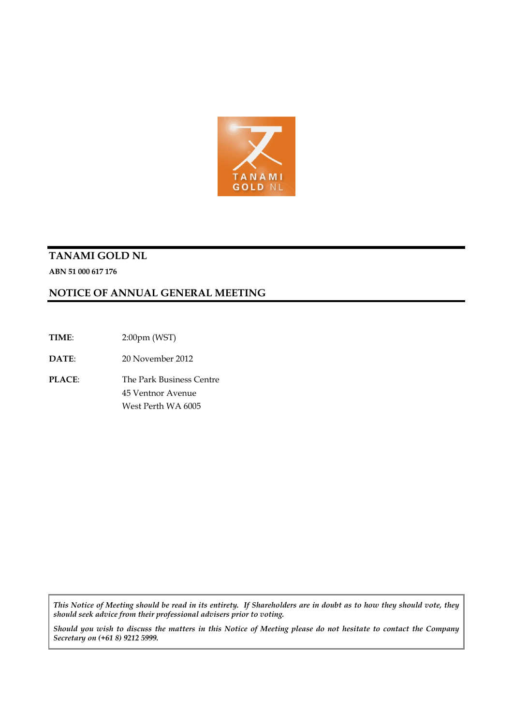

# **TANAMI GOLD NL**

**ABN 51 000 617 176**

# **NOTICE OF ANNUAL GENERAL MEETING**

**TIME**: 2:00pm (WST)

**DATE**: 20 November 2012

**PLACE**: The Park Business Centre 45 Ventnor Avenue West Perth WA 6005

*This Notice of Meeting should be read in its entirety. If Shareholders are in doubt as to how they should vote, they should seek advice from their professional advisers prior to voting.*

*Should you wish to discuss the matters in this Notice of Meeting please do not hesitate to contact the Company Secretary on (+61 8) 9212 5999.*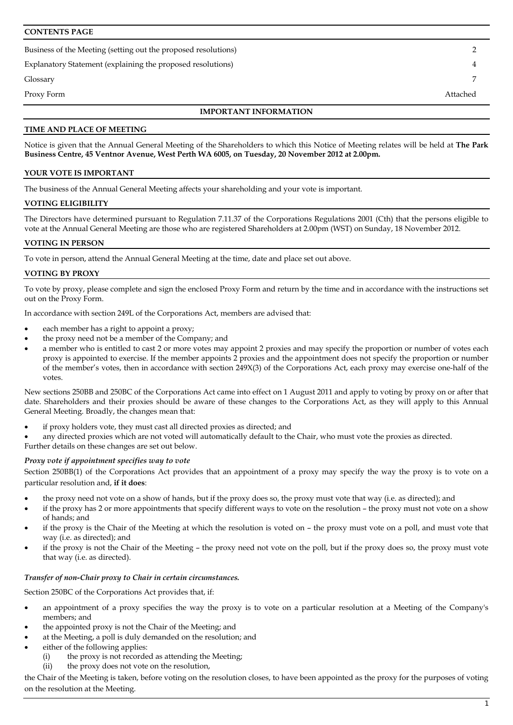### **CONTENTS PAGE**

Business of the Meeting (setting out the proposed resolutions) 2

Explanatory Statement (explaining the proposed resolutions) 4

Glossary 7

Proxy Form Attached

### **IMPORTANT INFORMATION**

### **TIME AND PLACE OF MEETING**

Notice is given that the Annual General Meeting of the Shareholders to which this Notice of Meeting relates will be held at **The Park Business Centre, 45 Ventnor Avenue, West Perth WA 6005, on Tuesday, 20 November 2012 at 2.00pm.**

### **YOUR VOTE IS IMPORTANT**

The business of the Annual General Meeting affects your shareholding and your vote is important.

### **VOTING ELIGIBILITY**

The Directors have determined pursuant to Regulation 7.11.37 of the Corporations Regulations 2001 (Cth) that the persons eligible to vote at the Annual General Meeting are those who are registered Shareholders at 2.00pm (WST) on Sunday, 18 November 2012.

### **VOTING IN PERSON**

To vote in person, attend the Annual General Meeting at the time, date and place set out above.

### **VOTING BY PROXY**

To vote by proxy, please complete and sign the enclosed Proxy Form and return by the time and in accordance with the instructions set out on the Proxy Form.

In accordance with section 249L of the Corporations Act, members are advised that:

- each member has a right to appoint a proxy;
- the proxy need not be a member of the Company; and
- a member who is entitled to cast 2 or more votes may appoint 2 proxies and may specify the proportion or number of votes each proxy is appointed to exercise. If the member appoints 2 proxies and the appointment does not specify the proportion or number of the member's votes, then in accordance with section 249X(3) of the Corporations Act, each proxy may exercise one-half of the votes.

New sections 250BB and 250BC of the Corporations Act came into effect on 1 August 2011 and apply to voting by proxy on or after that date. Shareholders and their proxies should be aware of these changes to the Corporations Act, as they will apply to this Annual General Meeting. Broadly, the changes mean that:

if proxy holders vote, they must cast all directed proxies as directed; and

• any directed proxies which are not voted will automatically default to the Chair, who must vote the proxies as directed.

Further details on these changes are set out below.

### *Proxy vote if appointment specifies way to vote*

Section 250BB(1) of the Corporations Act provides that an appointment of a proxy may specify the way the proxy is to vote on a particular resolution and, **if it does**:

- the proxy need not vote on a show of hands, but if the proxy does so, the proxy must vote that way (i.e. as directed); and
- if the proxy has 2 or more appointments that specify different ways to vote on the resolution the proxy must not vote on a show of hands; and
- if the proxy is the Chair of the Meeting at which the resolution is voted on the proxy must vote on a poll, and must vote that way (i.e. as directed); and
- if the proxy is not the Chair of the Meeting the proxy need not vote on the poll, but if the proxy does so, the proxy must vote that way (i.e. as directed).

#### *Transfer of non-Chair proxy to Chair in certain circumstances.*

Section 250BC of the Corporations Act provides that, if:

- an appointment of a proxy specifies the way the proxy is to vote on a particular resolution at a Meeting of the Company's members; and
- the appointed proxy is not the Chair of the Meeting; and
- at the Meeting, a poll is duly demanded on the resolution; and
- either of the following applies:
	- (i) the proxy is not recorded as attending the Meeting;
	- (ii) the proxy does not vote on the resolution,

the Chair of the Meeting is taken, before voting on the resolution closes, to have been appointed as the proxy for the purposes of voting on the resolution at the Meeting.

1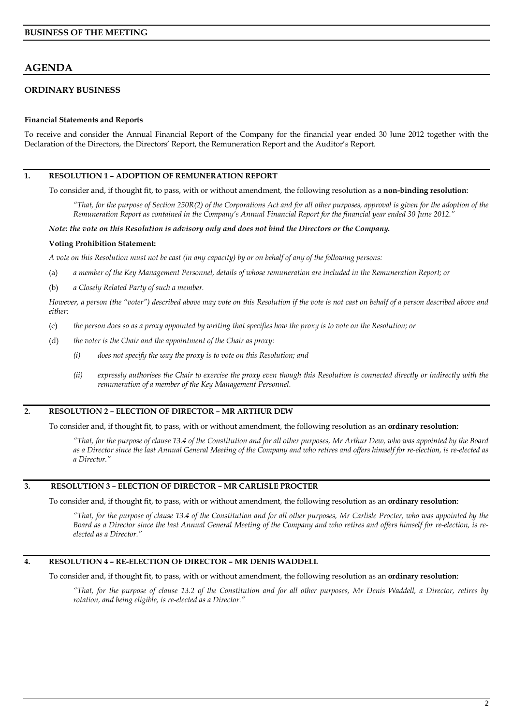# **AGENDA**

# **ORDINARY BUSINESS**

### **Financial Statements and Reports**

To receive and consider the Annual Financial Report of the Company for the financial year ended 30 June 2012 together with the Declaration of the Directors, the Directors' Report, the Remuneration Report and the Auditor's Report.

## **1. RESOLUTION 1 – ADOPTION OF REMUNERATION REPORT**

To consider and, if thought fit, to pass, with or without amendment, the following resolution as a **non-binding resolution**:

*"That, for the purpose of Section 250R(2) of the Corporations Act and for all other purposes, approval is given for the adoption of the Remuneration Report as contained in the Company's Annual Financial Report for the financial year ended 30 June 2012."*

#### *Note: the vote on this Resolution is advisory only and does not bind the Directors or the Company.*

#### **Voting Prohibition Statement:**

*A vote on this Resolution must not be cast (in any capacity) by or on behalf of any of the following persons:*

- (a) *a member of the Key Management Personnel, details of whose remuneration are included in the Remuneration Report; or*
- (b) *a Closely Related Party of such a member.*

*However, a person (the "voter") described above may vote on this Resolution if the vote is not cast on behalf of a person described above and either:*

- (c) *the person does so as a proxy appointed by writing that specifies how the proxy is to vote on the Resolution; or*
- (d) *the voter is the Chair and the appointment of the Chair as proxy:*
	- *(i) does not specify the way the proxy is to vote on this Resolution; and*
	- *(ii) expressly authorises the Chair to exercise the proxy even though this Resolution is connected directly or indirectly with the remuneration of a member of the Key Management Personnel.*

### **2. RESOLUTION 2 – ELECTION OF DIRECTOR – MR ARTHUR DEW**

To consider and, if thought fit, to pass, with or without amendment, the following resolution as an **ordinary resolution**:

*"That, for the purpose of clause 13.4 of the Constitution and for all other purposes, Mr Arthur Dew, who was appointed by the Board as a Director since the last Annual General Meeting of the Company and who retires and offers himself for re-election, is re-elected as a Director."*

# **3. RESOLUTION 3 – ELECTION OF DIRECTOR – MR CARLISLE PROCTER**

To consider and, if thought fit, to pass, with or without amendment, the following resolution as an **ordinary resolution**:

*"That, for the purpose of clause 13.4 of the Constitution and for all other purposes, Mr Carlisle Procter, who was appointed by the Board as a Director since the last Annual General Meeting of the Company and who retires and offers himself for re-election, is reelected as a Director."*

## **4. RESOLUTION 4 – RE-ELECTION OF DIRECTOR – MR DENIS WADDELL**

To consider and, if thought fit, to pass, with or without amendment, the following resolution as an **ordinary resolution**:

*"That, for the purpose of clause 13.2 of the Constitution and for all other purposes, Mr Denis Waddell, a Director, retires by rotation, and being eligible, is re-elected as a Director."*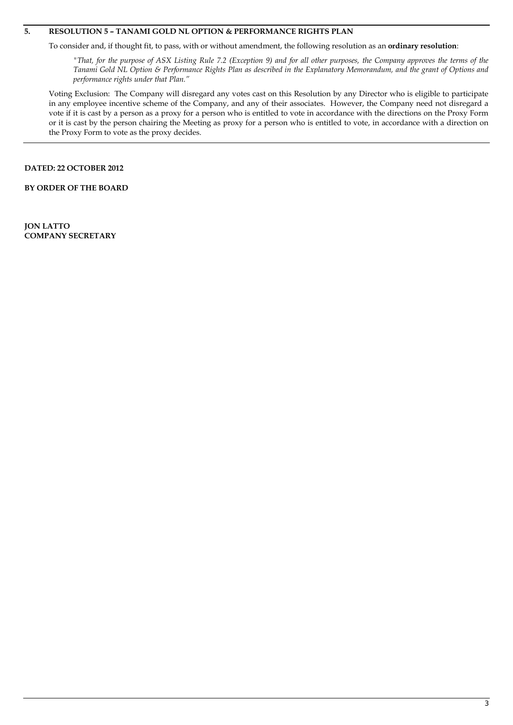## **5. RESOLUTION 5 – TANAMI GOLD NL OPTION & PERFORMANCE RIGHTS PLAN**

To consider and, if thought fit, to pass, with or without amendment, the following resolution as an **ordinary resolution**:

*"That, for the purpose of ASX Listing Rule 7.2 (Exception 9) and for all other purposes, the Company approves the terms of the Tanami Gold NL Option & Performance Rights Plan as described in the Explanatory Memorandum, and the grant of Options and performance rights under that Plan."*

Voting Exclusion: The Company will disregard any votes cast on this Resolution by any Director who is eligible to participate in any employee incentive scheme of the Company, and any of their associates. However, the Company need not disregard a vote if it is cast by a person as a proxy for a person who is entitled to vote in accordance with the directions on the Proxy Form or it is cast by the person chairing the Meeting as proxy for a person who is entitled to vote, in accordance with a direction on the Proxy Form to vote as the proxy decides.

### **DATED: 22 OCTOBER 2012**

**BY ORDER OF THE BOARD**

**JON LATTO COMPANY SECRETARY**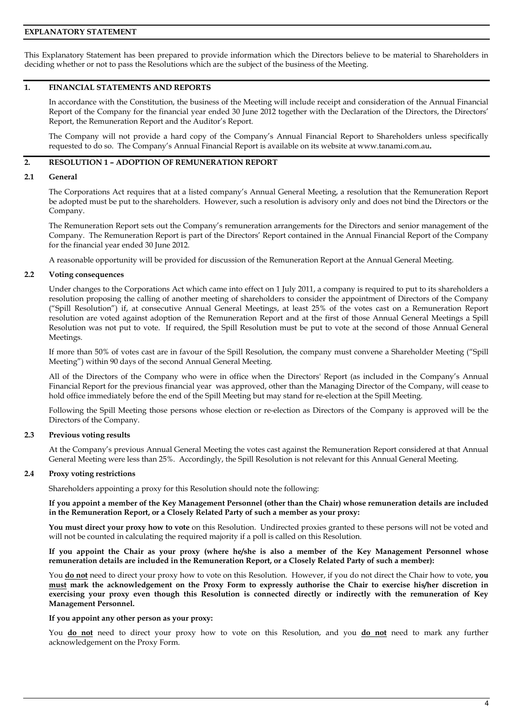### **EXPLANATORY STATEMENT**

This Explanatory Statement has been prepared to provide information which the Directors believe to be material to Shareholders in deciding whether or not to pass the Resolutions which are the subject of the business of the Meeting.

## **1. FINANCIAL STATEMENTS AND REPORTS**

In accordance with the Constitution, the business of the Meeting will include receipt and consideration of the Annual Financial Report of the Company for the financial year ended 30 June 2012 together with the Declaration of the Directors, the Directors' Report, the Remuneration Report and the Auditor's Report.

The Company will not provide a hard copy of the Company's Annual Financial Report to Shareholders unless specifically requested to do so. The Company's Annual Financial Report is available on its website at www.tanami.com.au**.**

### **2. RESOLUTION 1 – ADOPTION OF REMUNERATION REPORT**

#### **2.1 General**

The Corporations Act requires that at a listed company's Annual General Meeting, a resolution that the Remuneration Report be adopted must be put to the shareholders. However, such a resolution is advisory only and does not bind the Directors or the Company.

The Remuneration Report sets out the Company's remuneration arrangements for the Directors and senior management of the Company. The Remuneration Report is part of the Directors' Report contained in the Annual Financial Report of the Company for the financial year ended 30 June 2012.

A reasonable opportunity will be provided for discussion of the Remuneration Report at the Annual General Meeting.

#### **2.2 Voting consequences**

Under changes to the Corporations Act which came into effect on 1 July 2011, a company is required to put to its shareholders a resolution proposing the calling of another meeting of shareholders to consider the appointment of Directors of the Company ("Spill Resolution") if, at consecutive Annual General Meetings, at least 25% of the votes cast on a Remuneration Report resolution are voted against adoption of the Remuneration Report and at the first of those Annual General Meetings a Spill Resolution was not put to vote. If required, the Spill Resolution must be put to vote at the second of those Annual General Meetings.

If more than 50% of votes cast are in favour of the Spill Resolution, the company must convene a Shareholder Meeting ("Spill Meeting") within 90 days of the second Annual General Meeting.

All of the Directors of the Company who were in office when the Directors' Report (as included in the Company's Annual Financial Report for the previous financial year was approved, other than the Managing Director of the Company, will cease to hold office immediately before the end of the Spill Meeting but may stand for re-election at the Spill Meeting.

Following the Spill Meeting those persons whose election or re-election as Directors of the Company is approved will be the Directors of the Company.

#### **2.3 Previous voting results**

At the Company's previous Annual General Meeting the votes cast against the Remuneration Report considered at that Annual General Meeting were less than 25%. Accordingly, the Spill Resolution is not relevant for this Annual General Meeting.

#### **2.4 Proxy voting restrictions**

Shareholders appointing a proxy for this Resolution should note the following:

**If you appoint a member of the Key Management Personnel (other than the Chair) whose remuneration details are included in the Remuneration Report, or a Closely Related Party of such a member as your proxy:**

**You must direct your proxy how to vote** on this Resolution. Undirected proxies granted to these persons will not be voted and will not be counted in calculating the required majority if a poll is called on this Resolution.

**If you appoint the Chair as your proxy (where he/she is also a member of the Key Management Personnel whose remuneration details are included in the Remuneration Report, or a Closely Related Party of such a member):**

You **do not** need to direct your proxy how to vote on this Resolution. However, if you do not direct the Chair how to vote, **you must mark the acknowledgement on the Proxy Form to expressly authorise the Chair to exercise his/her discretion in exercising your proxy even though this Resolution is connected directly or indirectly with the remuneration of Key Management Personnel.**

#### **If you appoint any other person as your proxy:**

You **do not** need to direct your proxy how to vote on this Resolution, and you **do not** need to mark any further acknowledgement on the Proxy Form.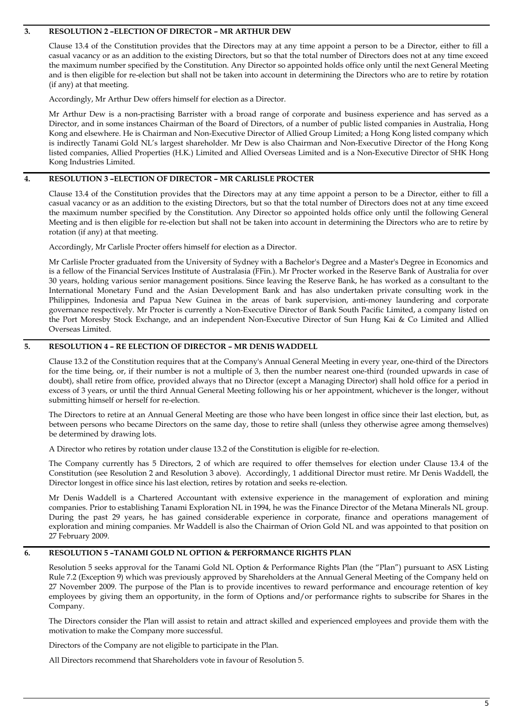### **3. RESOLUTION 2 –ELECTION OF DIRECTOR – MR ARTHUR DEW**

Clause 13.4 of the Constitution provides that the Directors may at any time appoint a person to be a Director, either to fill a casual vacancy or as an addition to the existing Directors, but so that the total number of Directors does not at any time exceed the maximum number specified by the Constitution. Any Director so appointed holds office only until the next General Meeting and is then eligible for re-election but shall not be taken into account in determining the Directors who are to retire by rotation (if any) at that meeting.

Accordingly, Mr Arthur Dew offers himself for election as a Director.

Mr Arthur Dew is a non-practising Barrister with a broad range of corporate and business experience and has served as a Director, and in some instances Chairman of the Board of Directors, of a number of public listed companies in Australia, Hong Kong and elsewhere. He is Chairman and Non-Executive Director of Allied Group Limited; a Hong Kong listed company which is indirectly Tanami Gold NL's largest shareholder. Mr Dew is also Chairman and Non-Executive Director of the Hong Kong listed companies, Allied Properties (H.K.) Limited and Allied Overseas Limited and is a Non-Executive Director of SHK Hong Kong Industries Limited.

### **4. RESOLUTION 3 –ELECTION OF DIRECTOR – MR CARLISLE PROCTER**

Clause 13.4 of the Constitution provides that the Directors may at any time appoint a person to be a Director, either to fill a casual vacancy or as an addition to the existing Directors, but so that the total number of Directors does not at any time exceed the maximum number specified by the Constitution. Any Director so appointed holds office only until the following General Meeting and is then eligible for re-election but shall not be taken into account in determining the Directors who are to retire by rotation (if any) at that meeting.

Accordingly, Mr Carlisle Procter offers himself for election as a Director.

Mr Carlisle Procter graduated from the University of Sydney with a Bachelor's Degree and a Master's Degree in Economics and is a fellow of the Financial Services Institute of Australasia (FFin.). Mr Procter worked in the Reserve Bank of Australia for over 30 years, holding various senior management positions. Since leaving the Reserve Bank, he has worked as a consultant to the International Monetary Fund and the Asian Development Bank and has also undertaken private consulting work in the Philippines, Indonesia and Papua New Guinea in the areas of bank supervision, anti-money laundering and corporate governance respectively. Mr Procter is currently a Non-Executive Director of Bank South Pacific Limited, a company listed on the Port Moresby Stock Exchange, and an independent Non-Executive Director of Sun Hung Kai & Co Limited and Allied Overseas Limited.

## **5. RESOLUTION 4 – RE ELECTION OF DIRECTOR – MR DENIS WADDELL**

Clause 13.2 of the Constitution requires that at the Company's Annual General Meeting in every year, one-third of the Directors for the time being, or, if their number is not a multiple of 3, then the number nearest one-third (rounded upwards in case of doubt), shall retire from office, provided always that no Director (except a Managing Director) shall hold office for a period in excess of 3 years, or until the third Annual General Meeting following his or her appointment, whichever is the longer, without submitting himself or herself for re-election.

The Directors to retire at an Annual General Meeting are those who have been longest in office since their last election, but, as between persons who became Directors on the same day, those to retire shall (unless they otherwise agree among themselves) be determined by drawing lots.

A Director who retires by rotation under clause 13.2 of the Constitution is eligible for re-election.

The Company currently has 5 Directors, 2 of which are required to offer themselves for election under Clause 13.4 of the Constitution (see Resolution 2 and Resolution 3 above). Accordingly, 1 additional Director must retire. Mr Denis Waddell, the Director longest in office since his last election, retires by rotation and seeks re-election.

Mr Denis Waddell is a Chartered Accountant with extensive experience in the management of exploration and mining companies. Prior to establishing Tanami Exploration NL in 1994, he was the Finance Director of the Metana Minerals NL group. During the past 29 years, he has gained considerable experience in corporate, finance and operations management of exploration and mining companies. Mr Waddell is also the Chairman of Orion Gold NL and was appointed to that position on 27 February 2009.

### **6. RESOLUTION 5 –TANAMI GOLD NL OPTION & PERFORMANCE RIGHTS PLAN**

Resolution 5 seeks approval for the Tanami Gold NL Option & Performance Rights Plan (the "Plan") pursuant to ASX Listing Rule 7.2 (Exception 9) which was previously approved by Shareholders at the Annual General Meeting of the Company held on 27 November 2009. The purpose of the Plan is to provide incentives to reward performance and encourage retention of key employees by giving them an opportunity, in the form of Options and/or performance rights to subscribe for Shares in the Company.

The Directors consider the Plan will assist to retain and attract skilled and experienced employees and provide them with the motivation to make the Company more successful.

Directors of the Company are not eligible to participate in the Plan.

All Directors recommend that Shareholders vote in favour of Resolution 5.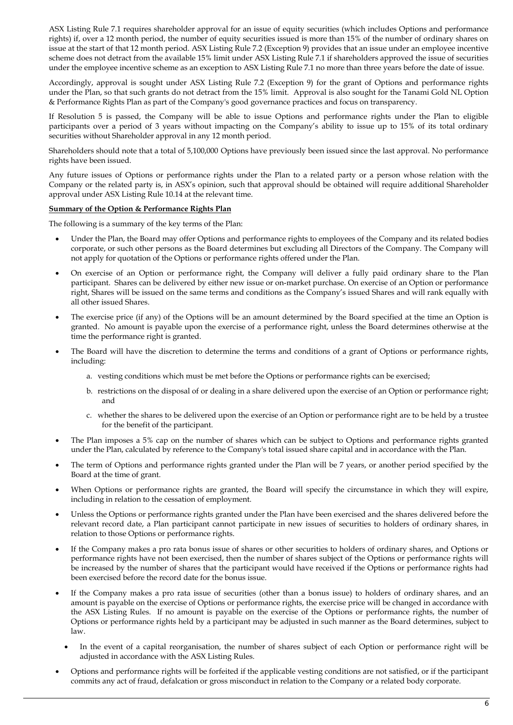ASX Listing Rule 7.1 requires shareholder approval for an issue of equity securities (which includes Options and performance rights) if, over a 12 month period, the number of equity securities issued is more than 15% of the number of ordinary shares on issue at the start of that 12 month period. ASX Listing Rule 7.2 (Exception 9) provides that an issue under an employee incentive scheme does not detract from the available 15% limit under ASX Listing Rule 7.1 if shareholders approved the issue of securities under the employee incentive scheme as an exception to ASX Listing Rule 7.1 no more than three years before the date of issue.

Accordingly, approval is sought under ASX Listing Rule 7.2 (Exception 9) for the grant of Options and performance rights under the Plan, so that such grants do not detract from the 15% limit. Approval is also sought for the Tanami Gold NL Option & Performance Rights Plan as part of the Company's good governance practices and focus on transparency.

If Resolution 5 is passed, the Company will be able to issue Options and performance rights under the Plan to eligible participants over a period of 3 years without impacting on the Company's ability to issue up to 15% of its total ordinary securities without Shareholder approval in any 12 month period.

Shareholders should note that a total of 5,100,000 Options have previously been issued since the last approval. No performance rights have been issued.

Any future issues of Options or performance rights under the Plan to a related party or a person whose relation with the Company or the related party is, in ASX's opinion, such that approval should be obtained will require additional Shareholder approval under ASX Listing Rule 10.14 at the relevant time.

### **Summary of the Option & Performance Rights Plan**

The following is a summary of the key terms of the Plan:

- Under the Plan, the Board may offer Options and performance rights to employees of the Company and its related bodies corporate, or such other persons as the Board determines but excluding all Directors of the Company. The Company will not apply for quotation of the Options or performance rights offered under the Plan.
- On exercise of an Option or performance right, the Company will deliver a fully paid ordinary share to the Plan participant. Shares can be delivered by either new issue or on-market purchase. On exercise of an Option or performance right, Shares will be issued on the same terms and conditions as the Company's issued Shares and will rank equally with all other issued Shares.
- The exercise price (if any) of the Options will be an amount determined by the Board specified at the time an Option is granted. No amount is payable upon the exercise of a performance right, unless the Board determines otherwise at the time the performance right is granted.
- The Board will have the discretion to determine the terms and conditions of a grant of Options or performance rights, including:
	- a. vesting conditions which must be met before the Options or performance rights can be exercised;
	- b. restrictions on the disposal of or dealing in a share delivered upon the exercise of an Option or performance right; and
	- c. whether the shares to be delivered upon the exercise of an Option or performance right are to be held by a trustee for the benefit of the participant.
- The Plan imposes a 5% cap on the number of shares which can be subject to Options and performance rights granted under the Plan, calculated by reference to the Company's total issued share capital and in accordance with the Plan.
- The term of Options and performance rights granted under the Plan will be 7 years, or another period specified by the Board at the time of grant.
- When Options or performance rights are granted, the Board will specify the circumstance in which they will expire, including in relation to the cessation of employment.
- Unless the Options or performance rights granted under the Plan have been exercised and the shares delivered before the relevant record date, a Plan participant cannot participate in new issues of securities to holders of ordinary shares, in relation to those Options or performance rights.
- If the Company makes a pro rata bonus issue of shares or other securities to holders of ordinary shares, and Options or performance rights have not been exercised, then the number of shares subject of the Options or performance rights will be increased by the number of shares that the participant would have received if the Options or performance rights had been exercised before the record date for the bonus issue.
- If the Company makes a pro rata issue of securities (other than a bonus issue) to holders of ordinary shares, and an amount is payable on the exercise of Options or performance rights, the exercise price will be changed in accordance with the ASX Listing Rules. If no amount is payable on the exercise of the Options or performance rights, the number of Options or performance rights held by a participant may be adjusted in such manner as the Board determines, subject to law.
	- In the event of a capital reorganisation, the number of shares subject of each Option or performance right will be adjusted in accordance with the ASX Listing Rules.
- Options and performance rights will be forfeited if the applicable vesting conditions are not satisfied, or if the participant commits any act of fraud, defalcation or gross misconduct in relation to the Company or a related body corporate.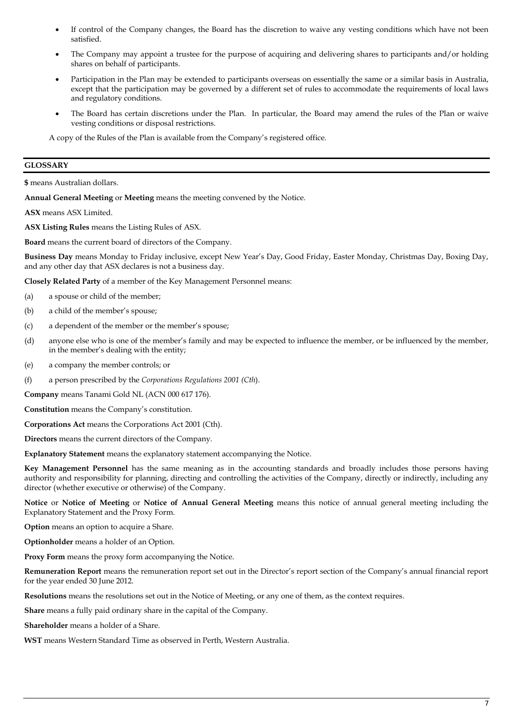- If control of the Company changes, the Board has the discretion to waive any vesting conditions which have not been satisfied.
- The Company may appoint a trustee for the purpose of acquiring and delivering shares to participants and/or holding shares on behalf of participants.
- Participation in the Plan may be extended to participants overseas on essentially the same or a similar basis in Australia, except that the participation may be governed by a different set of rules to accommodate the requirements of local laws and regulatory conditions.
- The Board has certain discretions under the Plan. In particular, the Board may amend the rules of the Plan or waive vesting conditions or disposal restrictions.

A copy of the Rules of the Plan is available from the Company's registered office.

# **GLOSSARY**

**\$** means Australian dollars.

**Annual General Meeting** or **Meeting** means the meeting convened by the Notice.

**ASX** means ASX Limited.

**ASX Listing Rules** means the Listing Rules of ASX.

**Board** means the current board of directors of the Company.

**Business Day** means Monday to Friday inclusive, except New Year's Day, Good Friday, Easter Monday, Christmas Day, Boxing Day, and any other day that ASX declares is not a business day.

**Closely Related Party** of a member of the Key Management Personnel means:

- (a) a spouse or child of the member;
- (b) a child of the member's spouse;
- (c) a dependent of the member or the member's spouse;
- (d) anyone else who is one of the member's family and may be expected to influence the member, or be influenced by the member, in the member's dealing with the entity;
- (e) a company the member controls; or
- (f) a person prescribed by the *Corporations Regulations 2001 (Cth*).

**Company** means Tanami Gold NL (ACN 000 617 176).

**Constitution** means the Company's constitution.

**Corporations Act** means the Corporations Act 2001 (Cth).

**Directors** means the current directors of the Company.

**Explanatory Statement** means the explanatory statement accompanying the Notice.

**Key Management Personnel** has the same meaning as in the accounting standards and broadly includes those persons having authority and responsibility for planning, directing and controlling the activities of the Company, directly or indirectly, including any director (whether executive or otherwise) of the Company.

**Notice** or **Notice of Meeting** or **Notice of Annual General Meeting** means this notice of annual general meeting including the Explanatory Statement and the Proxy Form.

**Option** means an option to acquire a Share.

**Optionholder** means a holder of an Option.

**Proxy Form** means the proxy form accompanying the Notice.

**Remuneration Report** means the remuneration report set out in the Director's report section of the Company's annual financial report for the year ended 30 June 2012.

**Resolutions** means the resolutions set out in the Notice of Meeting, or any one of them, as the context requires.

**Share** means a fully paid ordinary share in the capital of the Company.

**Shareholder** means a holder of a Share.

**WST** means Western Standard Time as observed in Perth, Western Australia.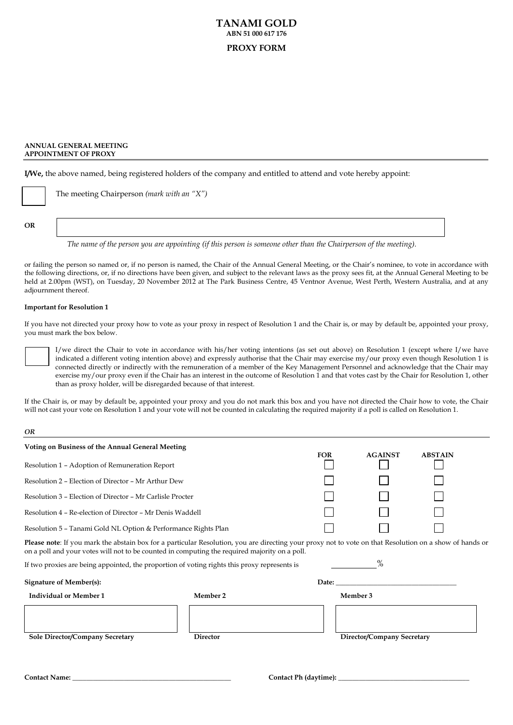# **TANAMI GOLD ABN 51 000 617 176 PROXY FORM**

#### **ANNUAL GENERAL MEETING APPOINTMENT OF PROXY**

**I/We,** the above named, being registered holders of the company and entitled to attend and vote hereby appoint:

|    | The meeting Chairperson (mark with an "X") |
|----|--------------------------------------------|
|    |                                            |
| OR |                                            |

*The name of the person you are appointing (if this person is someone other than the Chairperson of the meeting).*

or failing the person so named or, if no person is named, the Chair of the Annual General Meeting, or the Chair's nominee, to vote in accordance with the following directions, or, if no directions have been given, and subject to the relevant laws as the proxy sees fit, at the Annual General Meeting to be held at 2.00pm (WST), on Tuesday, 20 November 2012 at The Park Business Centre, 45 Ventnor Avenue, West Perth, Western Australia, and at any adjournment thereof.

#### **Important for Resolution 1**

If you have not directed your proxy how to vote as your proxy in respect of Resolution 1 and the Chair is, or may by default be, appointed your proxy, you must mark the box below.

I/we direct the Chair to vote in accordance with his/her voting intentions (as set out above) on Resolution 1 (except where I/we have indicated a different voting intention above) and expressly authorise that the Chair may exercise my/our proxy even though Resolution 1 is connected directly or indirectly with the remuneration of a member of the Key Management Personnel and acknowledge that the Chair may exercise my/our proxy even if the Chair has an interest in the outcome of Resolution 1 and that votes cast by the Chair for Resolution 1, other than as proxy holder, will be disregarded because of that interest.

If the Chair is, or may by default be, appointed your proxy and you do not mark this box and you have not directed the Chair how to vote, the Chair will not cast your vote on Resolution 1 and your vote will not be counted in calculating the required majority if a poll is called on Resolution 1.

#### *OR*

| Voting on Business of the Annual General Meeting                                                                                                               |            |                |                |  |  |
|----------------------------------------------------------------------------------------------------------------------------------------------------------------|------------|----------------|----------------|--|--|
|                                                                                                                                                                | <b>FOR</b> | <b>AGAINST</b> | <b>ABSTAIN</b> |  |  |
| Resolution 1 – Adoption of Remuneration Report                                                                                                                 |            |                |                |  |  |
| Resolution 2 – Election of Director – Mr Arthur Dew                                                                                                            |            |                |                |  |  |
| Resolution 3 – Election of Director – Mr Carlisle Procter                                                                                                      |            |                |                |  |  |
| Resolution 4 – Re-election of Director – Mr Denis Waddell                                                                                                      |            |                |                |  |  |
| Resolution 5 – Tanami Gold NL Option & Performance Rights Plan                                                                                                 |            |                |                |  |  |
| <b>Please note:</b> If you mark the abstain box for a particular Resolution, you are directing your proxy not to vote on that Resolution on a show of hands or |            |                |                |  |  |

on a poll and your votes will not to be counted in computing the required majority on a poll.

If two proxies are being appointed, the proportion of voting rights this proxy represents is

| <b>Signature of Member(s):</b>  | Date:           |                            |  |
|---------------------------------|-----------------|----------------------------|--|
| <b>Individual or Member 1</b>   | Member 2        | Member 3                   |  |
|                                 |                 |                            |  |
| Sole Director/Company Secretary | <b>Director</b> | Director/Company Secretary |  |
|                                 |                 |                            |  |

 $\frac{0}{6}$